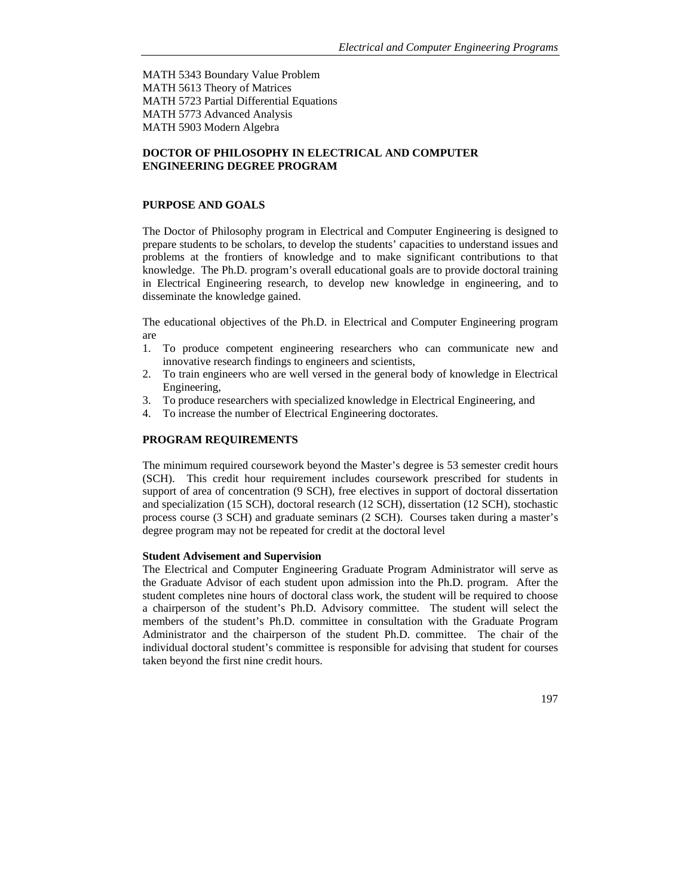MATH 5343 Boundary Value Problem MATH 5613 Theory of Matrices MATH 5723 Partial Differential Equations MATH 5773 Advanced Analysis MATH 5903 Modern Algebra

# **DOCTOR OF PHILOSOPHY IN ELECTRICAL AND COMPUTER ENGINEERING DEGREE PROGRAM**

# **PURPOSE AND GOALS**

The Doctor of Philosophy program in Electrical and Computer Engineering is designed to prepare students to be scholars, to develop the students' capacities to understand issues and problems at the frontiers of knowledge and to make significant contributions to that knowledge. The Ph.D. program's overall educational goals are to provide doctoral training in Electrical Engineering research, to develop new knowledge in engineering, and to disseminate the knowledge gained.

The educational objectives of the Ph.D. in Electrical and Computer Engineering program are

- 1. To produce competent engineering researchers who can communicate new and innovative research findings to engineers and scientists,
- 2. To train engineers who are well versed in the general body of knowledge in Electrical Engineering,
- 3. To produce researchers with specialized knowledge in Electrical Engineering, and
- 4. To increase the number of Electrical Engineering doctorates.

### **PROGRAM REQUIREMENTS**

The minimum required coursework beyond the Master's degree is 53 semester credit hours (SCH). This credit hour requirement includes coursework prescribed for students in support of area of concentration (9 SCH), free electives in support of doctoral dissertation and specialization (15 SCH), doctoral research (12 SCH), dissertation (12 SCH), stochastic process course (3 SCH) and graduate seminars (2 SCH). Courses taken during a master's degree program may not be repeated for credit at the doctoral level

#### **Student Advisement and Supervision**

The Electrical and Computer Engineering Graduate Program Administrator will serve as the Graduate Advisor of each student upon admission into the Ph.D. program. After the student completes nine hours of doctoral class work, the student will be required to choose a chairperson of the student's Ph.D. Advisory committee. The student will select the members of the student's Ph.D. committee in consultation with the Graduate Program Administrator and the chairperson of the student Ph.D. committee. The chair of the individual doctoral student's committee is responsible for advising that student for courses taken beyond the first nine credit hours.

197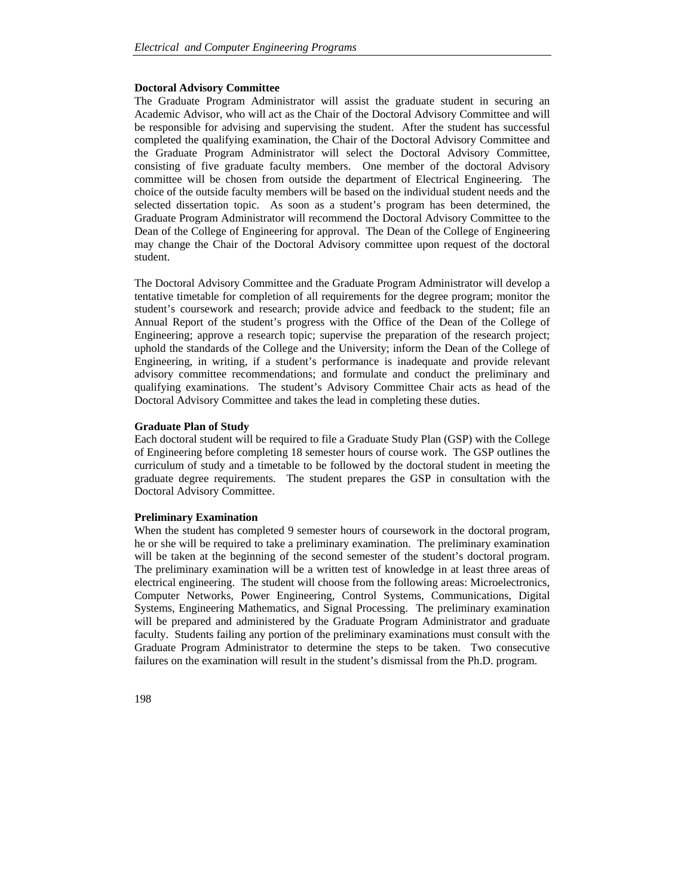### **Doctoral Advisory Committee**

The Graduate Program Administrator will assist the graduate student in securing an Academic Advisor, who will act as the Chair of the Doctoral Advisory Committee and will be responsible for advising and supervising the student. After the student has successful completed the qualifying examination, the Chair of the Doctoral Advisory Committee and the Graduate Program Administrator will select the Doctoral Advisory Committee, consisting of five graduate faculty members. One member of the doctoral Advisory committee will be chosen from outside the department of Electrical Engineering. The choice of the outside faculty members will be based on the individual student needs and the selected dissertation topic. As soon as a student's program has been determined, the Graduate Program Administrator will recommend the Doctoral Advisory Committee to the Dean of the College of Engineering for approval. The Dean of the College of Engineering may change the Chair of the Doctoral Advisory committee upon request of the doctoral student.

The Doctoral Advisory Committee and the Graduate Program Administrator will develop a tentative timetable for completion of all requirements for the degree program; monitor the student's coursework and research; provide advice and feedback to the student; file an Annual Report of the student's progress with the Office of the Dean of the College of Engineering; approve a research topic; supervise the preparation of the research project; uphold the standards of the College and the University; inform the Dean of the College of Engineering, in writing, if a student's performance is inadequate and provide relevant advisory committee recommendations; and formulate and conduct the preliminary and qualifying examinations. The student's Advisory Committee Chair acts as head of the Doctoral Advisory Committee and takes the lead in completing these duties.

#### **Graduate Plan of Study**

Each doctoral student will be required to file a Graduate Study Plan (GSP) with the College of Engineering before completing 18 semester hours of course work. The GSP outlines the curriculum of study and a timetable to be followed by the doctoral student in meeting the graduate degree requirements. The student prepares the GSP in consultation with the Doctoral Advisory Committee.

## **Preliminary Examination**

When the student has completed 9 semester hours of coursework in the doctoral program, he or she will be required to take a preliminary examination. The preliminary examination will be taken at the beginning of the second semester of the student's doctoral program. The preliminary examination will be a written test of knowledge in at least three areas of electrical engineering. The student will choose from the following areas: Microelectronics, Computer Networks, Power Engineering, Control Systems, Communications, Digital Systems, Engineering Mathematics, and Signal Processing. The preliminary examination will be prepared and administered by the Graduate Program Administrator and graduate faculty. Students failing any portion of the preliminary examinations must consult with the Graduate Program Administrator to determine the steps to be taken. Two consecutive failures on the examination will result in the student's dismissal from the Ph.D. program.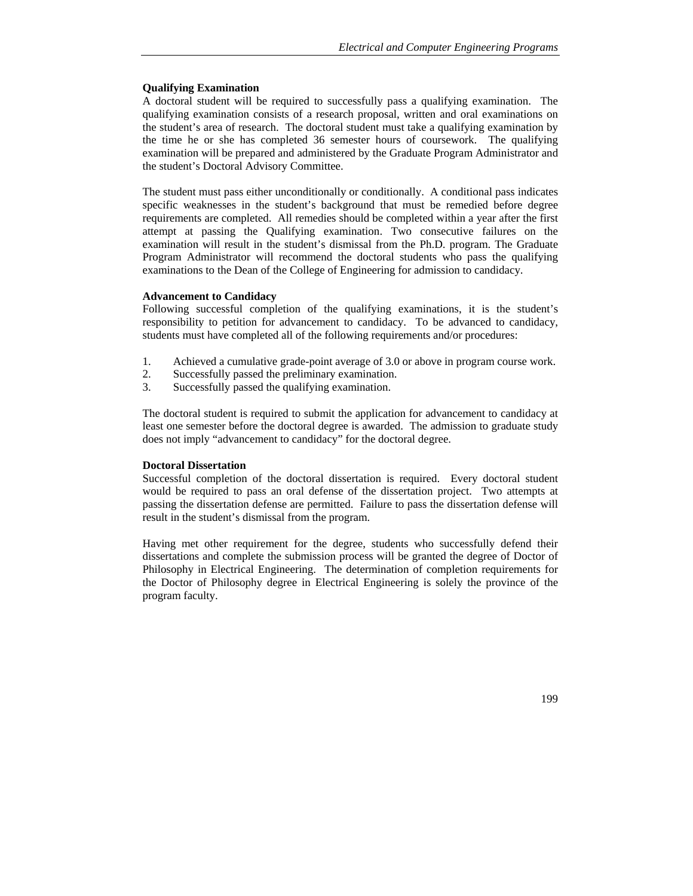## **Qualifying Examination**

A doctoral student will be required to successfully pass a qualifying examination. The qualifying examination consists of a research proposal, written and oral examinations on the student's area of research. The doctoral student must take a qualifying examination by the time he or she has completed 36 semester hours of coursework. The qualifying examination will be prepared and administered by the Graduate Program Administrator and the student's Doctoral Advisory Committee.

The student must pass either unconditionally or conditionally. A conditional pass indicates specific weaknesses in the student's background that must be remedied before degree requirements are completed. All remedies should be completed within a year after the first attempt at passing the Qualifying examination. Two consecutive failures on the examination will result in the student's dismissal from the Ph.D. program. The Graduate Program Administrator will recommend the doctoral students who pass the qualifying examinations to the Dean of the College of Engineering for admission to candidacy.

### **Advancement to Candidacy**

Following successful completion of the qualifying examinations, it is the student's responsibility to petition for advancement to candidacy. To be advanced to candidacy, students must have completed all of the following requirements and/or procedures:

- 1. Achieved a cumulative grade-point average of 3.0 or above in program course work.
- 2. Successfully passed the preliminary examination.
- 3. Successfully passed the qualifying examination.

The doctoral student is required to submit the application for advancement to candidacy at least one semester before the doctoral degree is awarded. The admission to graduate study does not imply "advancement to candidacy" for the doctoral degree.

### **Doctoral Dissertation**

Successful completion of the doctoral dissertation is required. Every doctoral student would be required to pass an oral defense of the dissertation project. Two attempts at passing the dissertation defense are permitted. Failure to pass the dissertation defense will result in the student's dismissal from the program.

Having met other requirement for the degree, students who successfully defend their dissertations and complete the submission process will be granted the degree of Doctor of Philosophy in Electrical Engineering. The determination of completion requirements for the Doctor of Philosophy degree in Electrical Engineering is solely the province of the program faculty.

199